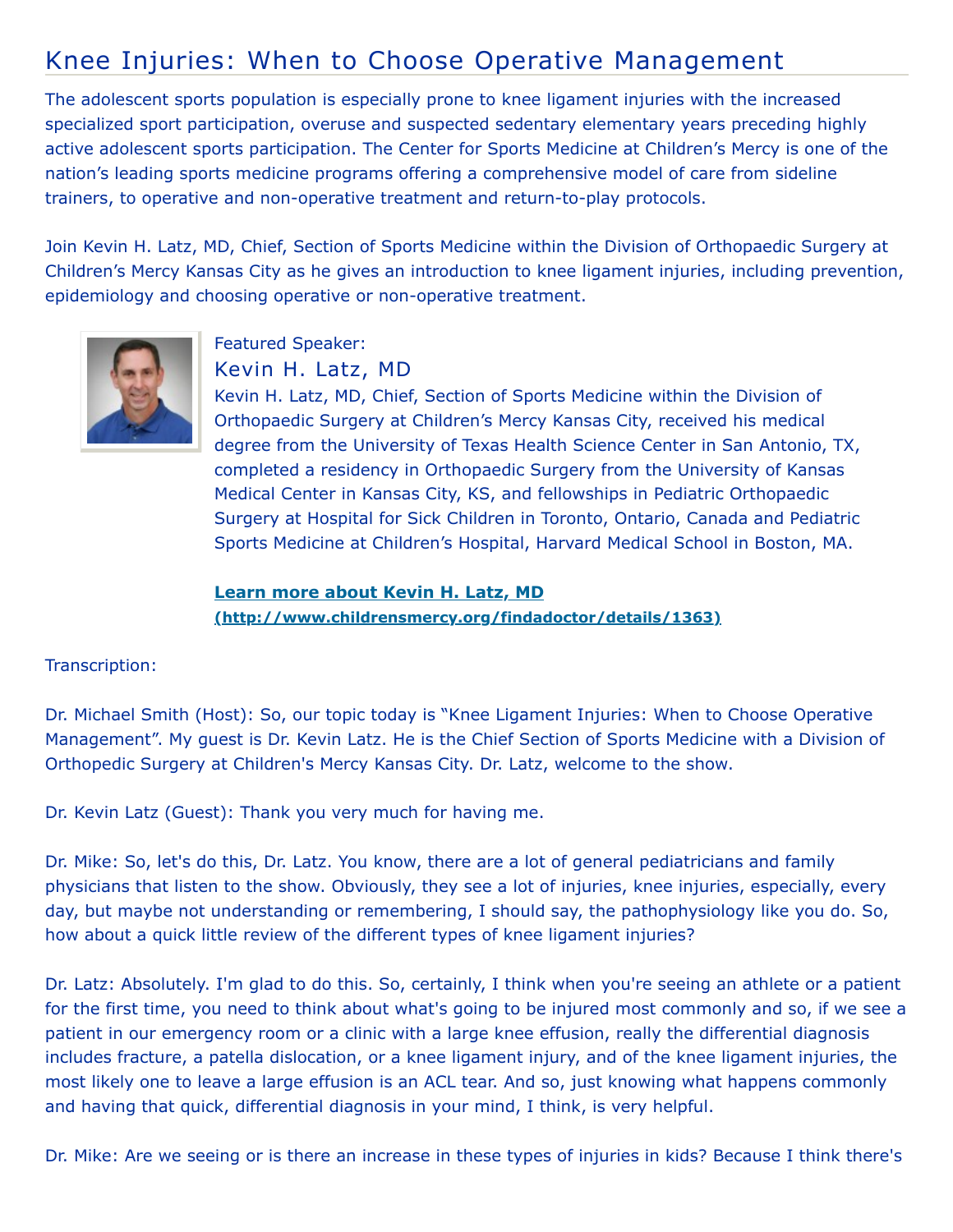## Knee Injuries: When to Choose Operative Management

The adolescent sports population is especially prone to knee ligament injuries with the increased specialized sport participation, overuse and suspected sedentary elementary years preceding highly active adolescent sports participation. The Center for Sports Medicine at Children's Mercy is one of the nation's leading sports medicine programs offering a comprehensive model of care from sideline trainers, to operative and non-operative treatment and return-to-play protocols.

Join Kevin H. Latz, MD, Chief, Section of Sports Medicine within the Division of Orthopaedic Surgery at Children's Mercy Kansas City as he gives an introduction to knee ligament injuries, including prevention, epidemiology and choosing operative or non-operative treatment.



Featured Speaker: Kevin H. Latz, MD

Kevin H. Latz, MD, Chief, Section of Sports Medicine within the Division of Orthopaedic Surgery at Children's Mercy Kansas City, received his medical degree from the University of Texas Health Science Center in San Antonio, TX, completed a residency in Orthopaedic Surgery from the University of Kansas Medical Center in Kansas City, KS, and fellowships in Pediatric Orthopaedic Surgery at Hospital for Sick Children in Toronto, Ontario, Canada and Pediatric Sports Medicine at Children's Hospital, Harvard Medical School in Boston, MA.

**Learn more about Kevin H. Latz, MD [\(http://www.childrensmercy.org/findadoctor/details/1363\)](http://www.childrensmercy.org/findadoctor/details/1363)**

Transcription:

Dr. Michael Smith (Host): So, our topic today is "Knee Ligament Injuries: When to Choose Operative Management". My guest is Dr. Kevin Latz. He is the Chief Section of Sports Medicine with a Division of Orthopedic Surgery at Children's Mercy Kansas City. Dr. Latz, welcome to the show.

Dr. Kevin Latz (Guest): Thank you very much for having me.

Dr. Mike: So, let's do this, Dr. Latz. You know, there are a lot of general pediatricians and family physicians that listen to the show. Obviously, they see a lot of injuries, knee injuries, especially, every day, but maybe not understanding or remembering, I should say, the pathophysiology like you do. So, how about a quick little review of the different types of knee ligament injuries?

Dr. Latz: Absolutely. I'm glad to do this. So, certainly, I think when you're seeing an athlete or a patient for the first time, you need to think about what's going to be injured most commonly and so, if we see a patient in our emergency room or a clinic with a large knee effusion, really the differential diagnosis includes fracture, a patella dislocation, or a knee ligament injury, and of the knee ligament injuries, the most likely one to leave a large effusion is an ACL tear. And so, just knowing what happens commonly and having that quick, differential diagnosis in your mind, I think, is very helpful.

Dr. Mike: Are we seeing or is there an increase in these types of injuries in kids? Because I think there's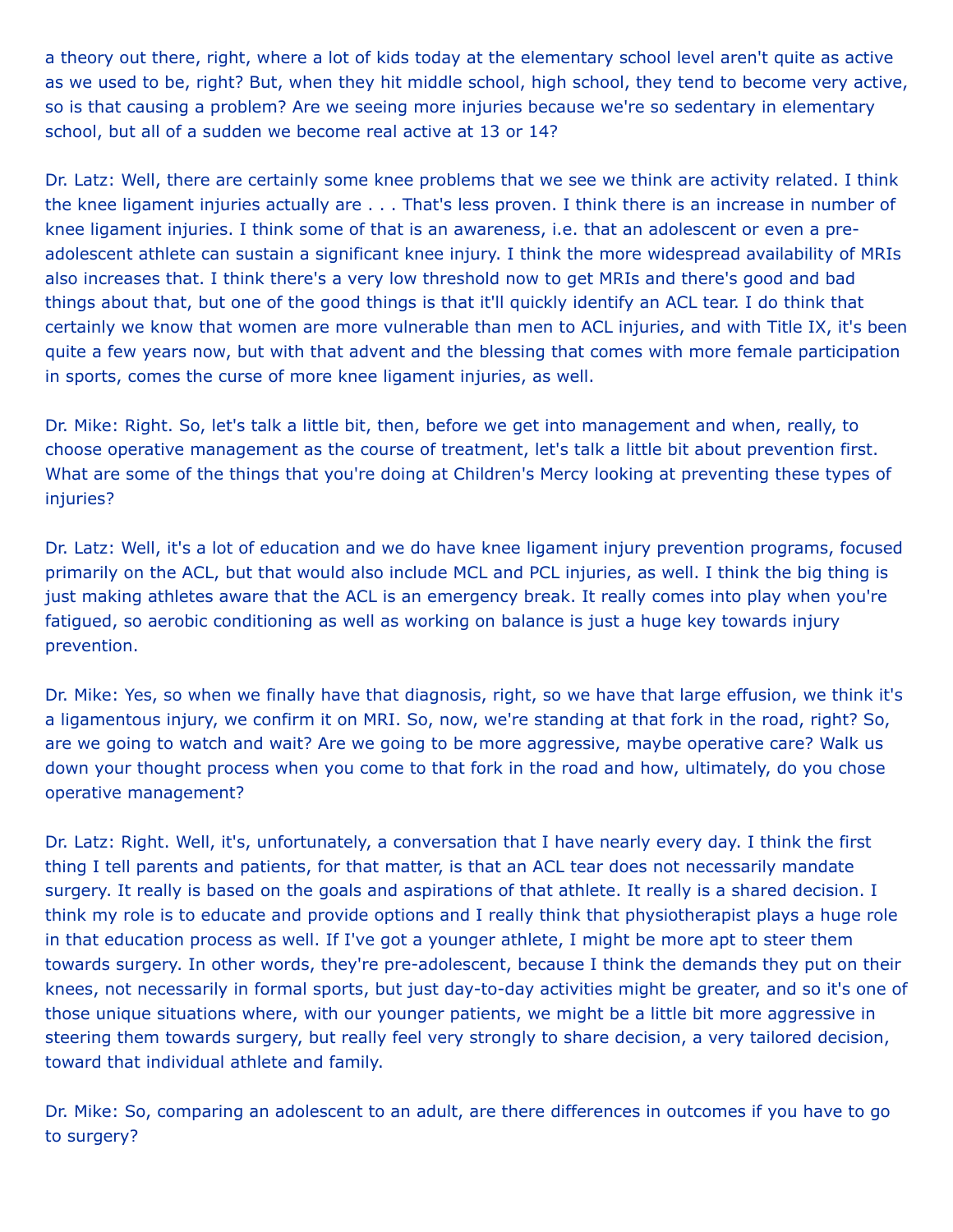a theory out there, right, where a lot of kids today at the elementary school level aren't quite as active as we used to be, right? But, when they hit middle school, high school, they tend to become very active, so is that causing a problem? Are we seeing more injuries because we're so sedentary in elementary school, but all of a sudden we become real active at 13 or 14?

Dr. Latz: Well, there are certainly some knee problems that we see we think are activity related. I think the knee ligament injuries actually are . . . That's less proven. I think there is an increase in number of knee ligament injuries. I think some of that is an awareness, i.e. that an adolescent or even a preadolescent athlete can sustain a significant knee injury. I think the more widespread availability of MRIs also increases that. I think there's a very low threshold now to get MRIs and there's good and bad things about that, but one of the good things is that it'll quickly identify an ACL tear. I do think that certainly we know that women are more vulnerable than men to ACL injuries, and with Title IX, it's been quite a few years now, but with that advent and the blessing that comes with more female participation in sports, comes the curse of more knee ligament injuries, as well.

Dr. Mike: Right. So, let's talk a little bit, then, before we get into management and when, really, to choose operative management as the course of treatment, let's talk a little bit about prevention first. What are some of the things that you're doing at Children's Mercy looking at preventing these types of injuries?

Dr. Latz: Well, it's a lot of education and we do have knee ligament injury prevention programs, focused primarily on the ACL, but that would also include MCL and PCL injuries, as well. I think the big thing is just making athletes aware that the ACL is an emergency break. It really comes into play when you're fatigued, so aerobic conditioning as well as working on balance is just a huge key towards injury prevention.

Dr. Mike: Yes, so when we finally have that diagnosis, right, so we have that large effusion, we think it's a ligamentous injury, we confirm it on MRI. So, now, we're standing at that fork in the road, right? So, are we going to watch and wait? Are we going to be more aggressive, maybe operative care? Walk us down your thought process when you come to that fork in the road and how, ultimately, do you chose operative management?

Dr. Latz: Right. Well, it's, unfortunately, a conversation that I have nearly every day. I think the first thing I tell parents and patients, for that matter, is that an ACL tear does not necessarily mandate surgery. It really is based on the goals and aspirations of that athlete. It really is a shared decision. I think my role is to educate and provide options and I really think that physiotherapist plays a huge role in that education process as well. If I've got a younger athlete, I might be more apt to steer them towards surgery. In other words, they're pre-adolescent, because I think the demands they put on their knees, not necessarily in formal sports, but just day-to-day activities might be greater, and so it's one of those unique situations where, with our younger patients, we might be a little bit more aggressive in steering them towards surgery, but really feel very strongly to share decision, a very tailored decision, toward that individual athlete and family.

Dr. Mike: So, comparing an adolescent to an adult, are there differences in outcomes if you have to go to surgery?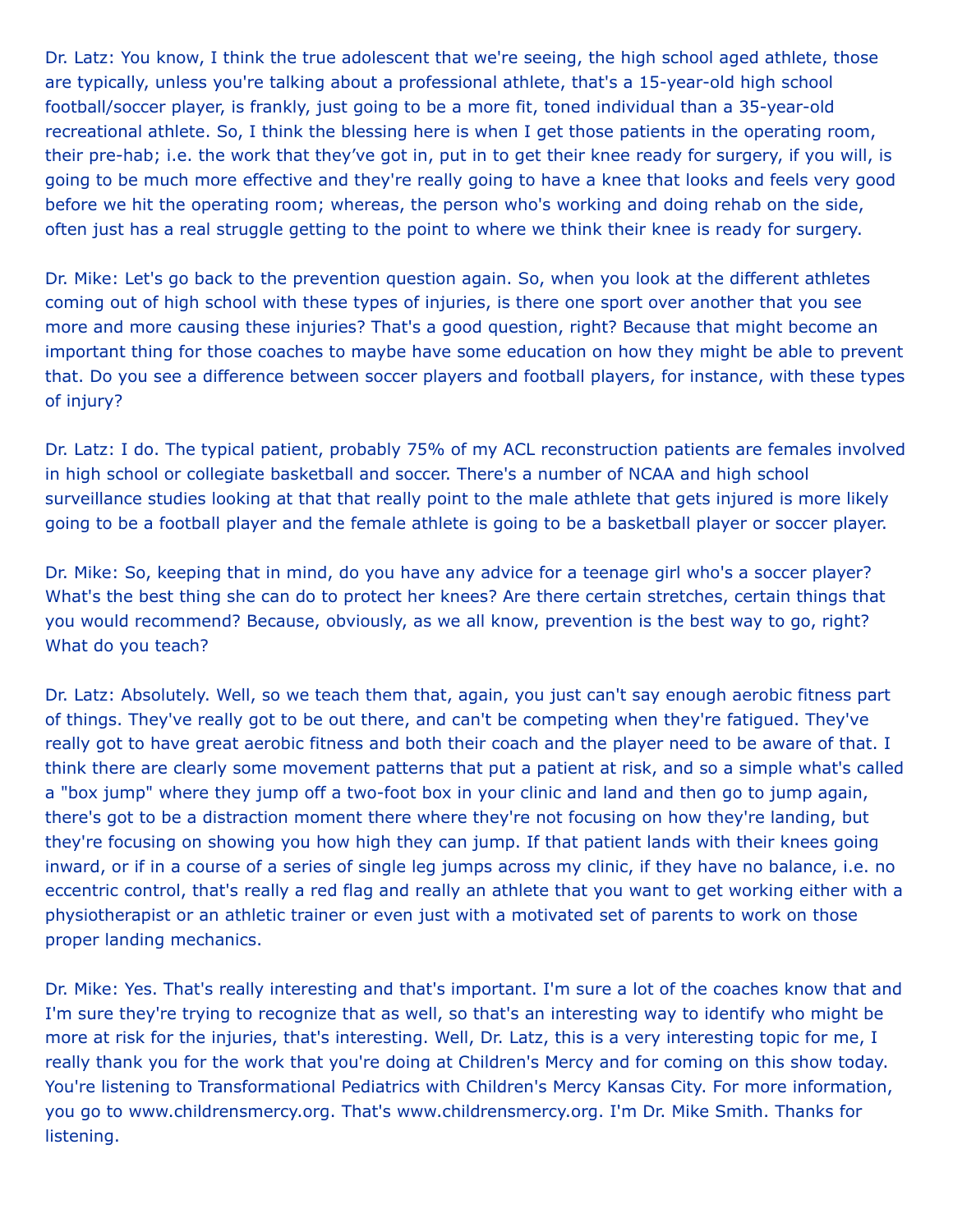Dr. Latz: You know, I think the true adolescent that we're seeing, the high school aged athlete, those are typically, unless you're talking about a professional athlete, that's a 15-year-old high school football/soccer player, is frankly, just going to be a more fit, toned individual than a 35-year-old recreational athlete. So, I think the blessing here is when I get those patients in the operating room, their pre-hab; i.e. the work that they've got in, put in to get their knee ready for surgery, if you will, is going to be much more effective and they're really going to have a knee that looks and feels very good before we hit the operating room; whereas, the person who's working and doing rehab on the side, often just has a real struggle getting to the point to where we think their knee is ready for surgery.

Dr. Mike: Let's go back to the prevention question again. So, when you look at the different athletes coming out of high school with these types of injuries, is there one sport over another that you see more and more causing these injuries? That's a good question, right? Because that might become an important thing for those coaches to maybe have some education on how they might be able to prevent that. Do you see a difference between soccer players and football players, for instance, with these types of injury?

Dr. Latz: I do. The typical patient, probably 75% of my ACL reconstruction patients are females involved in high school or collegiate basketball and soccer. There's a number of NCAA and high school surveillance studies looking at that that really point to the male athlete that gets injured is more likely going to be a football player and the female athlete is going to be a basketball player or soccer player.

Dr. Mike: So, keeping that in mind, do you have any advice for a teenage girl who's a soccer player? What's the best thing she can do to protect her knees? Are there certain stretches, certain things that you would recommend? Because, obviously, as we all know, prevention is the best way to go, right? What do you teach?

Dr. Latz: Absolutely. Well, so we teach them that, again, you just can't say enough aerobic fitness part of things. They've really got to be out there, and can't be competing when they're fatigued. They've really got to have great aerobic fitness and both their coach and the player need to be aware of that. I think there are clearly some movement patterns that put a patient at risk, and so a simple what's called a "box jump" where they jump off a two-foot box in your clinic and land and then go to jump again, there's got to be a distraction moment there where they're not focusing on how they're landing, but they're focusing on showing you how high they can jump. If that patient lands with their knees going inward, or if in a course of a series of single leg jumps across my clinic, if they have no balance, i.e. no eccentric control, that's really a red flag and really an athlete that you want to get working either with a physiotherapist or an athletic trainer or even just with a motivated set of parents to work on those proper landing mechanics.

Dr. Mike: Yes. That's really interesting and that's important. I'm sure a lot of the coaches know that and I'm sure they're trying to recognize that as well, so that's an interesting way to identify who might be more at risk for the injuries, that's interesting. Well, Dr. Latz, this is a very interesting topic for me, I really thank you for the work that you're doing at Children's Mercy and for coming on this show today. You're listening to Transformational Pediatrics with Children's Mercy Kansas City. For more information, you go to www.childrensmercy.org. That's www.childrensmercy.org. I'm Dr. Mike Smith. Thanks for listening.